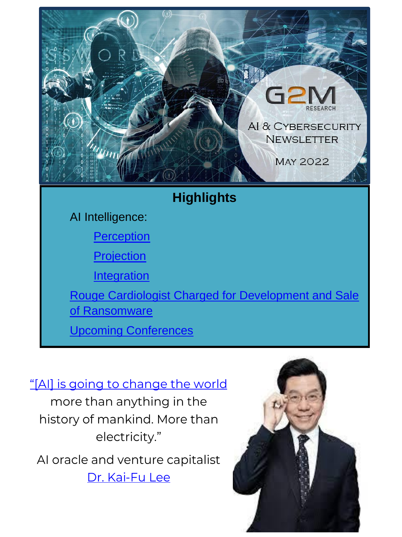

#### "[Al] is going to change the world

more than anything in the history of mankind. More than electricity."

AI oracle and venture capitalist Dr. Kai-Fu Lee

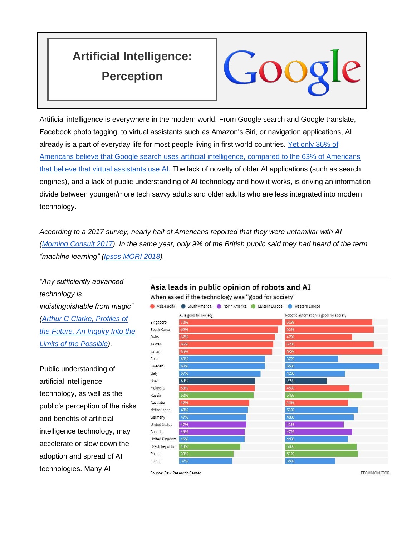## <span id="page-1-0"></span>**Artificial Intelligence: Perception**



Artificial intelligence is everywhere in the modern world. From Google search and Google translate, Facebook photo tagging, to virtual assistants such as Amazon's Siri, or navigation applications, AI already is a part of everyday life for most people living in first world countries. [Yet only 36% of](https://governanceai.github.io/US-Public-Opinion-Report-Jan-2019/general-attitudes-toward-ai.html#americans-understanding-of-key-technology-terms)  [Americans believe that Google search uses artificial intelligence, compared to the 63% of Americans](https://governanceai.github.io/US-Public-Opinion-Report-Jan-2019/general-attitudes-toward-ai.html#americans-understanding-of-key-technology-terms)  [that believe that virtual assistants use AI.](https://governanceai.github.io/US-Public-Opinion-Report-Jan-2019/general-attitudes-toward-ai.html#americans-understanding-of-key-technology-terms) The lack of novelty of older AI applications (such as search engines), and a lack of public understanding of AI technology and how it works, is driving an information divide between younger/more tech savvy adults and older adults who are less integrated into modern technology.

*According to a 2017 survey, nearly half of Americans reported that they were unfamiliar with AI [\(Morning Consult 2017\)](https://perma.cc/TBJ9-CB5K). In the same year, only 9% of the British public said they had heard of the term "machine learning" [\(Ipsos MORI 2018\)](https://perma.cc/79FE-TEHH).*

*"Any sufficiently advanced technology is indistinguishable from magic" [\(Arthur C Clarke, Profiles of](https://lab.cccb.org/en/arthur-c-clarke-any-sufficiently-advanced-technology-is-indistinguishable-from-magic/#:~:text=In%201962%2C%20in%20his%20book,technology%20is%20indistinguishable%20from%20magic%E2%80%9D.)  [the Future, An Inquiry Into the](https://lab.cccb.org/en/arthur-c-clarke-any-sufficiently-advanced-technology-is-indistinguishable-from-magic/#:~:text=In%201962%2C%20in%20his%20book,technology%20is%20indistinguishable%20from%20magic%E2%80%9D.)  [Limits of the Possible\)](https://lab.cccb.org/en/arthur-c-clarke-any-sufficiently-advanced-technology-is-indistinguishable-from-magic/#:~:text=In%201962%2C%20in%20his%20book,technology%20is%20indistinguishable%20from%20magic%E2%80%9D.).*

Public understanding of artificial intelligence technology, as well as the public's perception of the risks and benefits of artificial intelligence technology, may accelerate or slow down the adoption and spread of AI technologies. Many AI

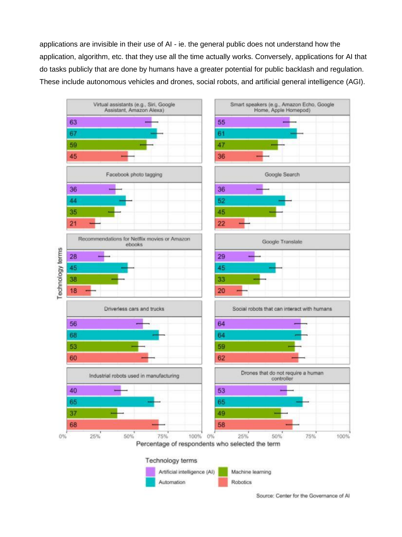applications are invisible in their use of AI - ie. the general public does not understand how the application, algorithm, etc. that they use all the time actually works. Conversely, applications for AI that do tasks publicly that are done by humans have a greater potential for public backlash and regulation. These include autonomous vehicles and drones, social robots, and artificial general intelligence (AGI).



Source: Center for the Governance of Al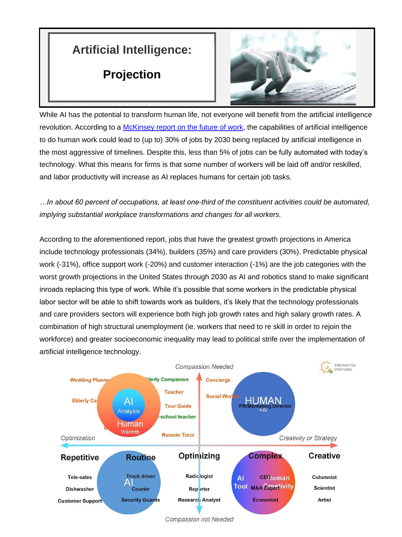## <span id="page-3-0"></span>**Artificial Intelligence:**

#### **Projection**



While AI has the potential to transform human life, not everyone will benefit from the artificial intelligence revolution. According to a [McKinsey report on the future of work,](https://www.mckinsey.com/featured-insights/future-of-work/jobs-lost-jobs-gained-what-the-future-of-work-will-mean-for-jobs-skills-and-wages) the capabilities of artificial intelligence to do human work could lead to (up to) 30% of jobs by 2030 being replaced by artificial intelligence in the most aggressive of timelines. Despite this, less than 5% of jobs can be fully automated with today's technology. What this means for firms is that some number of workers will be laid off and/or reskilled, and labor productivity will increase as AI replaces humans for certain job tasks.

*…In about 60 percent of occupations, at least one-third of the constituent activities could be automated, implying substantial workplace transformations and changes for all workers.*

According to the aforementioned report, jobs that have the greatest growth projections in America include technology professionals (34%), builders (35%) and care providers (30%). Predictable physical work (-31%), office support work (-20%) and customer interaction (-1%) are the job categories with the worst growth projections in the United States through 2030 as AI and robotics stand to make significant inroads replacing this type of work. While it's possible that some workers in the predictable physical labor sector will be able to shift towards work as builders, it's likely that the technology professionals and care providers sectors will experience both high job growth rates and high salary growth rates. A combination of high structural unemployment (ie. workers that need to re skill in order to rejoin the workforce) and greater socioeconomic inequality may lead to political strife over the implementation of artificial intelligence technology.



**Compassion not Needed**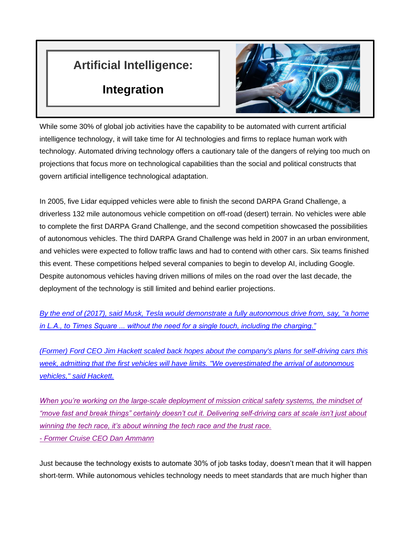### <span id="page-4-0"></span>**Artificial Intelligence:**

#### **Integration**



While some 30% of global job activities have the capability to be automated with current artificial intelligence technology, it will take time for AI technologies and firms to replace human work with technology. Automated driving technology offers a cautionary tale of the dangers of relying too much on projections that focus more on technological capabilities than the social and political constructs that govern artificial intelligence technological adaptation.

In 2005, five Lidar equipped vehicles were able to finish the second DARPA Grand Challenge, a driverless 132 mile autonomous vehicle competition on off-road (desert) terrain. No vehicles were able to complete the first DARPA Grand Challenge, and the second competition showcased the possibilities of autonomous vehicles. The third DARPA Grand Challenge was held in 2007 in an urban environment, and vehicles were expected to follow traffic laws and had to contend with other cars. Six teams finished this event. These competitions helped several companies to begin to develop AI, including Google. Despite autonomous vehicles having driven millions of miles on the road over the last decade, the deployment of the technology is still limited and behind earlier projections.

*By the end of (2017), said Musk, Tesla would [demonstrate a fully autonomous drive from, say, "a home](https://www.nbcnews.com/business/autos/driverless-tesla-will-travel-l-nyc-2017-says-musk-n670206)  [in L.A., to Times Square ... without the need for a single touch, including the charging."](https://www.nbcnews.com/business/autos/driverless-tesla-will-travel-l-nyc-2017-says-musk-n670206)*

*[\(Former\) Ford CEO Jim Hackett scaled back hopes about the company's plans for self-driving cars this](https://www.engadget.com/2019-04-10-ford-ceo-says-the-company-overestimated-self-driving-cars.html)  [week, admitting that the first vehicles will have limits. "We overestimated the arrival of autonomous](https://www.engadget.com/2019-04-10-ford-ceo-says-the-company-overestimated-self-driving-cars.html)  [vehicles," said Hackett.](https://www.engadget.com/2019-04-10-ford-ceo-says-the-company-overestimated-self-driving-cars.html)*

*[When you're working on the large-scale deployment of mission critical safety systems, the mindset of](https://medium.com/cruise/the-next-steps-to-scale-start-in-san-francisco-713315f3a142)  ["move fast and break things" certainly doesn't cut it. Delivering self-driving cars at scale isn't just about](https://medium.com/cruise/the-next-steps-to-scale-start-in-san-francisco-713315f3a142)  [winning the tech race, it's about winning the tech race and the trust race.](https://medium.com/cruise/the-next-steps-to-scale-start-in-san-francisco-713315f3a142) - [Former Cruise CEO Dan Ammann](https://medium.com/cruise/the-next-steps-to-scale-start-in-san-francisco-713315f3a142)*

Just because the technology exists to automate 30% of job tasks today, doesn't mean that it will happen short-term. While autonomous vehicles technology needs to meet standards that are much higher than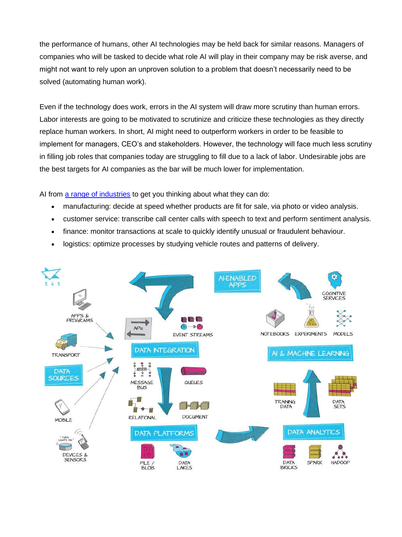the performance of humans, other AI technologies may be held back for similar reasons. Managers of companies who will be tasked to decide what role AI will play in their company may be risk averse, and might not want to rely upon an unproven solution to a problem that doesn't necessarily need to be solved (automating human work).

Even if the technology does work, errors in the AI system will draw more scrutiny than human errors. Labor interests are going to be motivated to scrutinize and criticize these technologies as they directly replace human workers. In short, AI might need to outperform workers in order to be feasible to implement for managers, CEO's and stakeholders. However, the technology will face much less scrutiny in filling job roles that companies today are struggling to fill due to a lack of labor. Undesirable jobs are the best targets for AI companies as the bar will be much lower for implementation.

AI from [a range of industries](https://345.technology/technical/machine-learning-and-ai/integration-how-is-it-connected-to-ai-and-machine-learning/) to get you thinking about what they can do:

- manufacturing: decide at speed whether products are fit for sale, via photo or video analysis.
- customer service: transcribe call center calls with speech to text and perform sentiment analysis.
- finance: monitor transactions at scale to quickly identify unusual or fraudulent behaviour.
- logistics: optimize processes by studying vehicle routes and patterns of delivery.

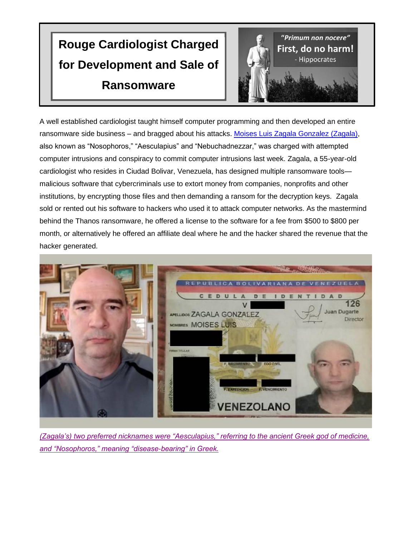# <span id="page-6-0"></span>**Rouge Cardiologist Charged for Development and Sale of Ransomware**



A well established cardiologist taught himself computer programming and then developed an entire ransomware side business – and bragged about his attacks. [Moises Luis Zagala Gonzalez \(Zagala\),](https://thehackernews.com/2022/05/us-charges-venezuelan-doctor-for-using.html) also known as "Nosophoros," "Aesculapius" and "Nebuchadnezzar," was charged with attempted computer intrusions and conspiracy to commit computer intrusions last week. Zagala, a 55-year-old cardiologist who resides in Ciudad Bolivar, Venezuela, has designed multiple ransomware tools malicious software that cybercriminals use to extort money from companies, nonprofits and other institutions, by encrypting those files and then demanding a ransom for the decryption keys. Zagala sold or rented out his software to hackers who used it to attack computer networks. As the mastermind behind the Thanos ransomware, he offered a license to the software for a fee from \$500 to \$800 per month, or alternatively he offered an affiliate deal where he and the hacker shared the revenue that the hacker generated.



*[\(Zagala's\) two preferred nicknames were "Aesculapius," referring to the ancient Greek god of medicine,](https://www.justice.gov/usao-edny/pr/hacker-and-ransomware-designer-charged-use-and-sale-ransomware-and-profit-sharing)  [and "Nosophoros," meaning "disease-bearing" in Greek.](https://www.justice.gov/usao-edny/pr/hacker-and-ransomware-designer-charged-use-and-sale-ransomware-and-profit-sharing)*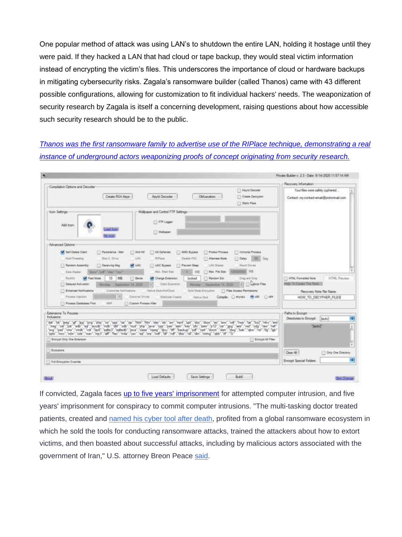One popular method of attack was using LAN's to shutdown the entire LAN, holding it hostage until they were paid. If they hacked a LAN that had cloud or tape backup, they would steal victim information instead of encrypting the victim's files. This underscores the importance of cloud or hardware backups in mitigating cybersecurity risks. Zagala's ransomware builder (called Thanos) came with 43 different possible configurations, allowing for customization to fit individual hackers' needs. The weaponization of security research by Zagala is itself a concerning development, raising questions about how accessible such security research should be to the public.

#### *[Thanos was the first ransomware family to advertise use of the RIPlace technique, demonstrating a real](https://go.recordedfuture.com/hubfs/reports/cta-2020-0610.pdf)  [instance of underground actors weaponizing proofs of concept originating](https://go.recordedfuture.com/hubfs/reports/cta-2020-0610.pdf) from security research.*

| -Compilation Options and Decoder                                                                                                                                                                                                                                                                                                                                                                                                                                                                                                                                                                                                                                                                                    |                                                                                                                                                                                                                                                                                                                             | Recovery Information                                                                                                                                                 |
|---------------------------------------------------------------------------------------------------------------------------------------------------------------------------------------------------------------------------------------------------------------------------------------------------------------------------------------------------------------------------------------------------------------------------------------------------------------------------------------------------------------------------------------------------------------------------------------------------------------------------------------------------------------------------------------------------------------------|-----------------------------------------------------------------------------------------------------------------------------------------------------------------------------------------------------------------------------------------------------------------------------------------------------------------------------|----------------------------------------------------------------------------------------------------------------------------------------------------------------------|
| Create RSA Keys                                                                                                                                                                                                                                                                                                                                                                                                                                                                                                                                                                                                                                                                                                     | <b>E- Keylof Decoder</b><br>Kevid Decoder<br>Obfuscation.<br><b>Create Detryptor</b><br><b>Static Paux</b>                                                                                                                                                                                                                  | Your files were safely cyphered<br>Contact: my-contact-email@protonmail.com                                                                                          |
| -Icon Settings<br>Add loon:<br><b>Line Boys</b><br><b>Balloon</b>                                                                                                                                                                                                                                                                                                                                                                                                                                                                                                                                                                                                                                                   | Wallpaper and Control FTP Settings<br>FT FTP Legger<br>F-1 Wallpaper:                                                                                                                                                                                                                                                       |                                                                                                                                                                      |
| Advanced Options<br>50 Self-Delete Client<br>7 Personnence - Melt<br>$5.1$ Ans VM<br>LAN<br>Mulli-Tirmading<br>Say C. Drive<br><b>SA UAC</b><br><b>C. Rendom Assembly</b><br>- Cessiving Mag<br>Data Stealer<br>ODCH  DIF  WINE  Street                                                                                                                                                                                                                                                                                                                                                                                                                                                                             | - Immortal Process<br><b>I-1 All Defender</b><br><b>C. AMSI Byzanx</b><br><b>I-I Probact Process</b><br><b>Biffass</b><br><b>CLOway</b><br>Disable FAC<br>- Alternate Mode<br><b>LE UAC Bypass</b><br><b>T. Present Dees</b><br><b>LAN Diarec</b><br>Mayer Drives<br>10000000 NE<br>Max, Treat Year.<br>1 May 7th Spe<br>MR | <b>INGEL: Seg</b>                                                                                                                                                    |
| <b>SAT</b> Fast Mode<br>Rozelli<br>10<br>MB<br><b>STI Banda</b><br>Delayed Activation<br>Blanday Statement 14, 2020<br>[1] Enhanced Nonfroations<br>Customize Notifications<br><b>Process Harcher</b><br>Discover Drives                                                                                                                                                                                                                                                                                                                                                                                                                                                                                            | <b>M.</b> Change Extension:<br>locked<br><b>Random Ext</b><br>Drag and Drea<br>Cleri Espieton<br>w<br>September 14, 2020<br><b>Marktag</b><br><b>Native StateArtCloud</b><br>Safe Mode Emirystem<br><b>C. Flex Acosts Permissions</b><br>Compile: [ ] anytals (6) sift<br><b>Shelloske Creator</b><br>Nation Skill:         | [7] HTML Formatted Note<br>HTML Preview<br>Help To Greate The Note<br><b>Call Labor Files</b><br>Recovery Note File Name:<br><b>E-1 x54</b><br>HOW TO DECYPHER FILES |
| <b>Frances Detailence First</b><br><b>JURAN</b><br>Custom Process Killer<br>Extensions To Process:                                                                                                                                                                                                                                                                                                                                                                                                                                                                                                                                                                                                                  |                                                                                                                                                                                                                                                                                                                             | Paths to Encrypt                                                                                                                                                     |
| <b>Inclusions:</b><br>"da","bt","peg","gf","prg","php","cs","cs","cs","bp","htm","htm","xkm","xx","mc4","ppt","doc","doc","doc","aw","bot","hwp","htm","bz2","nkv","enti<br>"head","out","put","edb","art","acodb","edb","adb","end","php","area","opp","pus","aesn","peen","put","pag","aesn","edb","aesn","beat","beat","beat","beat","beat","beat","beat","beat","beat","beat","beat","beat","beat","be<br>"avg","pad","vms","vmdk","vdf","aydi","agiteds","agitedb","java","daas","mpeg","dyv,","tff","beckup","pdf","cen","doom","xlam","dwg","bak","dw","nd","fig","ligb"<br>"ppix","mov","xdw","xdw","ww","xp3","aff","flac","m4a","cov","ag","cov","mdf","ldf","nd","dtw","dtw","dm","hrang","abb?."df","7x |                                                                                                                                                                                                                                                                                                                             | Directones to Encrypt: [Suite]<br><b>LeutoT</b>                                                                                                                      |
| Encrypt Driv One Extension                                                                                                                                                                                                                                                                                                                                                                                                                                                                                                                                                                                                                                                                                          |                                                                                                                                                                                                                                                                                                                             | <b>DEnoyot All Files</b>                                                                                                                                             |
| Exclusions                                                                                                                                                                                                                                                                                                                                                                                                                                                                                                                                                                                                                                                                                                          |                                                                                                                                                                                                                                                                                                                             | <b>Clear Ab</b><br>City One Directory                                                                                                                                |

If convicted, Zagala faces [up to five years' imprisonment](https://thehackernews.com/2022/05/us-charges-venezuelan-doctor-for-using.html) for attempted computer intrusion, and five years' imprisonment for conspiracy to commit computer intrusions. "The multi-tasking doctor treated patients, created and [named](https://en.wikipedia.org/wiki/Thanatos) his cyber tool after death, profited from a global ransomware ecosystem in which he sold the tools for conducting ransomware attacks, trained the attackers about how to extort victims, and then boasted about successful attacks, including by malicious actors associated with the government of Iran," U.S. attorney Breon Peace [said](https://www.justice.gov/usao-edny/pr/hacker-and-ransomware-designer-charged-use-and-sale-ransomware-and-profit-sharing)[.](https://go.thn.li/backup-jira)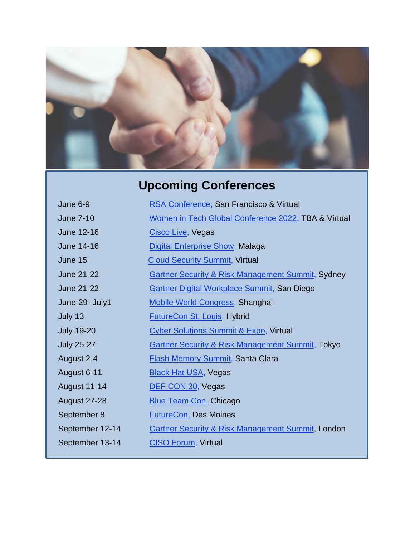

# **Upcoming Conferences**

<span id="page-8-0"></span>

| June 6-9            | RSA Conference, San Francisco & Virtual                      |
|---------------------|--------------------------------------------------------------|
| <b>June 7-10</b>    | Women in Tech Global Conference 2022, TBA & Virtual          |
| June 12-16          | Cisco Live, Vegas                                            |
| June 14-16          | <b>Digital Enterprise Show, Malaga</b>                       |
| June 15             | <b>Cloud Security Summit, Virtual</b>                        |
| <b>June 21-22</b>   | <b>Gartner Security &amp; Risk Management Summit, Sydney</b> |
| <b>June 21-22</b>   | <b>Gartner Digital Workplace Summit, San Diego</b>           |
| June 29- July1      | <b>Mobile World Congress, Shanghai</b>                       |
| July 13             | <b>FutureCon St. Louis, Hybrid</b>                           |
| <b>July 19-20</b>   | <b>Cyber Solutions Summit &amp; Expo, Virtual</b>            |
| <b>July 25-27</b>   | <b>Gartner Security &amp; Risk Management Summit, Tokyo</b>  |
| August 2-4          | <b>Flash Memory Summit, Santa Clara</b>                      |
| August 6-11         | <b>Black Hat USA, Vegas</b>                                  |
| <b>August 11-14</b> | DEF CON 30, Vegas                                            |
| <b>August 27-28</b> | <b>Blue Team Con, Chicago</b>                                |
| September 8         | <b>FutureCon, Des Moines</b>                                 |
| September 12-14     | <b>Gartner Security &amp; Risk Management Summit, London</b> |
| September 13-14     | <b>CISO Forum, Virtual</b>                                   |